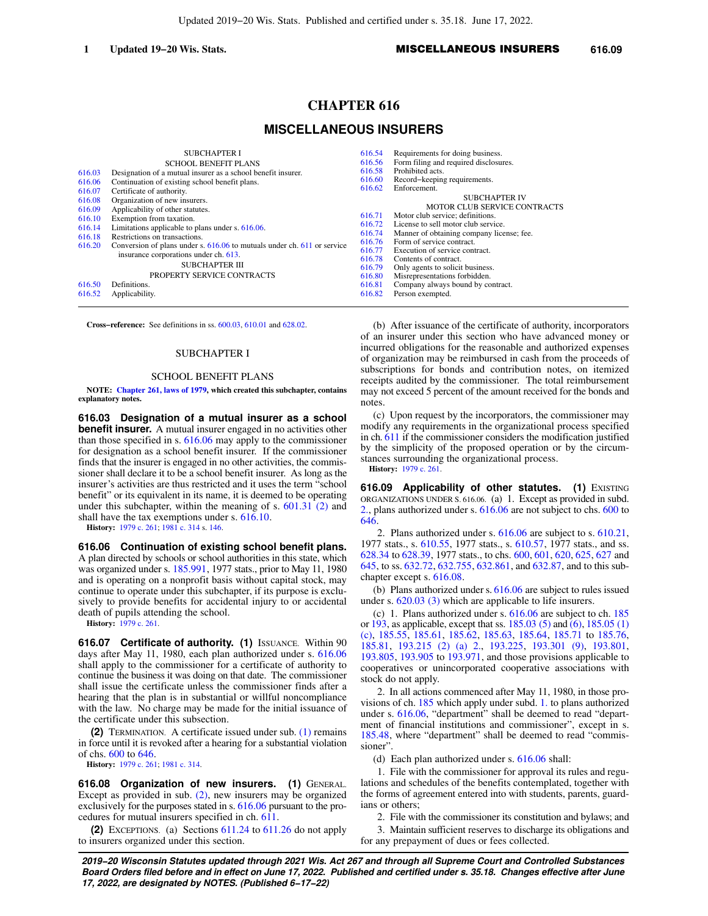## **1 Updated 19−20 Wis. Stats. 1 1 MISCELLANEOUS INSURERS** 616.09

# **CHAPTER 616**

# **MISCELLANEOUS INSURERS**

|        | <b>SUBCHAPTER I</b>                                                         | 616.54 | Requirements for doing business.          |
|--------|-----------------------------------------------------------------------------|--------|-------------------------------------------|
|        | <b>SCHOOL BENEFIT PLANS</b>                                                 | 616.56 | Form filing and required disclosures.     |
| 616.03 | Designation of a mutual insurer as a school benefit insurer.                | 616.58 | Prohibited acts.                          |
| 616.06 | Continuation of existing school benefit plans.                              | 616.60 | Record-keeping requirements.              |
| 616.07 | Certificate of authority.                                                   | 616.62 | Enforcement.                              |
| 616.08 | Organization of new insurers.                                               |        | <b>SUBCHAPTER IV</b>                      |
| 616.09 | Applicability of other statutes.                                            |        | <b>MOTOR CLUB SERVICE CONTRACTS</b>       |
| 616.10 | Exemption from taxation.                                                    | 616.71 | Motor club service; definitions.          |
| 616.14 | Limitations applicable to plans under s. 616.06.                            | 616.72 | License to sell motor club service.       |
| 616.18 | Restrictions on transactions.                                               | 616.74 | Manner of obtaining company license; fee. |
| 616.20 | Conversion of plans under s. $616.06$ to mutuals under ch. $611$ or service | 616.76 | Form of service contract.                 |
|        | insurance corporations under ch. 613.                                       | 616.77 | Execution of service contract.            |
|        | <b>SUBCHAPTER III</b>                                                       | 616.78 | Contents of contract.                     |
|        | PROPERTY SERVICE CONTRACTS                                                  | 616.79 | Only agents to solicit business.          |
|        |                                                                             | 616.80 | Misrepresentations forbidden.             |
| 616.50 | Definitions.                                                                | 616.81 | Company always bound by contract.         |
| 616.52 | Applicability.                                                              | 616.82 | Person exempted.                          |
|        |                                                                             |        |                                           |

**Cross−reference:** See definitions in ss. [600.03](https://docs.legis.wisconsin.gov/document/statutes/600.03), [610.01](https://docs.legis.wisconsin.gov/document/statutes/610.01) and [628.02.](https://docs.legis.wisconsin.gov/document/statutes/628.02)

#### SUBCHAPTER I

## SCHOOL BENEFIT PLANS

**NOTE: [Chapter 261, laws of 1979,](https://docs.legis.wisconsin.gov/document/acts/1979/261) which created this subchapter, contains explanatory notes.**

**616.03 Designation of a mutual insurer as a school benefit insurer.** A mutual insurer engaged in no activities other than those specified in s. [616.06](https://docs.legis.wisconsin.gov/document/statutes/616.06) may apply to the commissioner for designation as a school benefit insurer. If the commissioner finds that the insurer is engaged in no other activities, the commissioner shall declare it to be a school benefit insurer. As long as the insurer's activities are thus restricted and it uses the term "school benefit" or its equivalent in its name, it is deemed to be operating under this subchapter, within the meaning of s. [601.31 \(2\)](https://docs.legis.wisconsin.gov/document/statutes/601.31(2)) and shall have the tax exemptions under s. [616.10](https://docs.legis.wisconsin.gov/document/statutes/616.10).

**History:** [1979 c. 261](https://docs.legis.wisconsin.gov/document/acts/1979/261); [1981 c. 314](https://docs.legis.wisconsin.gov/document/acts/1981/314) s. [146.](https://docs.legis.wisconsin.gov/document/acts/1981/314,%20s.%20146)

**616.06 Continuation of existing school benefit plans.** A plan directed by schools or school authorities in this state, which was organized under s. [185.991,](https://docs.legis.wisconsin.gov/document/statutes/1977/185.991) 1977 stats., prior to May 11, 1980 and is operating on a nonprofit basis without capital stock, may continue to operate under this subchapter, if its purpose is exclusively to provide benefits for accidental injury to or accidental death of pupils attending the school.

**History:** [1979 c. 261](https://docs.legis.wisconsin.gov/document/acts/1979/261).

**616.07 Certificate of authority. (1)** ISSUANCE. Within 90 days after May 11, 1980, each plan authorized under s. [616.06](https://docs.legis.wisconsin.gov/document/statutes/616.06) shall apply to the commissioner for a certificate of authority to continue the business it was doing on that date. The commissioner shall issue the certificate unless the commissioner finds after a hearing that the plan is in substantial or willful noncompliance with the law. No charge may be made for the initial issuance of the certificate under this subsection.

**(2)** TERMINATION. A certificate issued under sub. [\(1\)](https://docs.legis.wisconsin.gov/document/statutes/616.07(1)) remains in force until it is revoked after a hearing for a substantial violation of chs. [600](https://docs.legis.wisconsin.gov/document/statutes/ch.%20600) to [646.](https://docs.legis.wisconsin.gov/document/statutes/ch.%20646)

**History:** [1979 c. 261](https://docs.legis.wisconsin.gov/document/acts/1979/261); [1981 c. 314](https://docs.legis.wisconsin.gov/document/acts/1981/314).

**616.08 Organization of new insurers. (1)** GENERAL. Except as provided in sub. [\(2\),](https://docs.legis.wisconsin.gov/document/statutes/616.08(2)) new insurers may be organized exclusively for the purposes stated in s. [616.06](https://docs.legis.wisconsin.gov/document/statutes/616.06) pursuant to the procedures for mutual insurers specified in ch. [611](https://docs.legis.wisconsin.gov/document/statutes/ch.%20611).

**(2)** EXCEPTIONS. (a) Sections [611.24](https://docs.legis.wisconsin.gov/document/statutes/611.24) to [611.26](https://docs.legis.wisconsin.gov/document/statutes/611.26) do not apply to insurers organized under this section.

(b) After issuance of the certificate of authority, incorporators of an insurer under this section who have advanced money or incurred obligations for the reasonable and authorized expenses of organization may be reimbursed in cash from the proceeds of subscriptions for bonds and contribution notes, on itemized receipts audited by the commissioner. The total reimbursement may not exceed 5 percent of the amount received for the bonds and notes.

(c) Upon request by the incorporators, the commissioner may modify any requirements in the organizational process specified in ch. [611](https://docs.legis.wisconsin.gov/document/statutes/ch.%20611) if the commissioner considers the modification justified by the simplicity of the proposed operation or by the circumstances surrounding the organizational process. **History:** [1979 c. 261.](https://docs.legis.wisconsin.gov/document/acts/1979/261)

**616.09 Applicability of other statutes. (1) EXISTING** ORGANIZATIONS UNDER S. 616.06. (a) 1. Except as provided in subd. [2.,](https://docs.legis.wisconsin.gov/document/statutes/616.09(1)(a)2.) plans authorized under s. [616.06](https://docs.legis.wisconsin.gov/document/statutes/616.06) are not subject to chs. [600](https://docs.legis.wisconsin.gov/document/statutes/ch.%20600) to [646.](https://docs.legis.wisconsin.gov/document/statutes/ch.%20646)

2. Plans authorized under s. [616.06](https://docs.legis.wisconsin.gov/document/statutes/616.06) are subject to s. [610.21,](https://docs.legis.wisconsin.gov/document/statutes/1977/610.21) 1977 stats., s. [610.55,](https://docs.legis.wisconsin.gov/document/statutes/1977/610.55) 1977 stats., s. [610.57,](https://docs.legis.wisconsin.gov/document/statutes/1977/610.57) 1977 stats., and ss. [628.34](https://docs.legis.wisconsin.gov/document/statutes/1977/628.34) to [628.39,](https://docs.legis.wisconsin.gov/document/statutes/1977/628.39) 1977 stats., to chs. [600](https://docs.legis.wisconsin.gov/document/statutes/ch.%20600), [601,](https://docs.legis.wisconsin.gov/document/statutes/ch.%20601) [620,](https://docs.legis.wisconsin.gov/document/statutes/ch.%20620) [625](https://docs.legis.wisconsin.gov/document/statutes/ch.%20625), [627](https://docs.legis.wisconsin.gov/document/statutes/ch.%20627) and [645,](https://docs.legis.wisconsin.gov/document/statutes/ch.%20645) to ss. [632.72,](https://docs.legis.wisconsin.gov/document/statutes/632.72) [632.755](https://docs.legis.wisconsin.gov/document/statutes/632.755), [632.861,](https://docs.legis.wisconsin.gov/document/statutes/632.861) and [632.87,](https://docs.legis.wisconsin.gov/document/statutes/632.87) and to this subchapter except s. [616.08.](https://docs.legis.wisconsin.gov/document/statutes/616.08)

(b) Plans authorized under s. [616.06](https://docs.legis.wisconsin.gov/document/statutes/616.06) are subject to rules issued under s. [620.03 \(3\)](https://docs.legis.wisconsin.gov/document/statutes/620.03(3)) which are applicable to life insurers.

(c) 1. Plans authorized under s. [616.06](https://docs.legis.wisconsin.gov/document/statutes/616.06) are subject to ch. [185](https://docs.legis.wisconsin.gov/document/statutes/ch.%20185) or [193,](https://docs.legis.wisconsin.gov/document/statutes/ch.%20193) as applicable, except that ss. [185.03 \(5\)](https://docs.legis.wisconsin.gov/document/statutes/185.03(5)) and [\(6\)](https://docs.legis.wisconsin.gov/document/statutes/185.03(6)), [185.05 \(1\)](https://docs.legis.wisconsin.gov/document/statutes/185.05(1)(c)) [\(c\)](https://docs.legis.wisconsin.gov/document/statutes/185.05(1)(c)), [185.55](https://docs.legis.wisconsin.gov/document/statutes/185.55), [185.61,](https://docs.legis.wisconsin.gov/document/statutes/185.61) [185.62,](https://docs.legis.wisconsin.gov/document/statutes/185.62) [185.63](https://docs.legis.wisconsin.gov/document/statutes/185.63), [185.64,](https://docs.legis.wisconsin.gov/document/statutes/185.64) [185.71](https://docs.legis.wisconsin.gov/document/statutes/185.71) to [185.76,](https://docs.legis.wisconsin.gov/document/statutes/185.76) [185.81,](https://docs.legis.wisconsin.gov/document/statutes/185.81) [193.215 \(2\) \(a\) 2.](https://docs.legis.wisconsin.gov/document/statutes/193.215(2)(a)2.), [193.225,](https://docs.legis.wisconsin.gov/document/statutes/193.225) [193.301 \(9\)](https://docs.legis.wisconsin.gov/document/statutes/193.301(9)), [193.801,](https://docs.legis.wisconsin.gov/document/statutes/193.801) [193.805](https://docs.legis.wisconsin.gov/document/statutes/193.805), [193.905](https://docs.legis.wisconsin.gov/document/statutes/193.905) to [193.971,](https://docs.legis.wisconsin.gov/document/statutes/193.971) and those provisions applicable to cooperatives or unincorporated cooperative associations with stock do not apply.

2. In all actions commenced after May 11, 1980, in those provisions of ch. [185](https://docs.legis.wisconsin.gov/document/statutes/ch.%20185) which apply under subd. [1.](https://docs.legis.wisconsin.gov/document/statutes/616.09(1)(c)1.) to plans authorized under s. [616.06,](https://docs.legis.wisconsin.gov/document/statutes/616.06) "department" shall be deemed to read "department of financial institutions and commissioner", except in s. [185.48,](https://docs.legis.wisconsin.gov/document/statutes/185.48) where "department" shall be deemed to read "commissioner".

(d) Each plan authorized under s. [616.06](https://docs.legis.wisconsin.gov/document/statutes/616.06) shall:

1. File with the commissioner for approval its rules and regulations and schedules of the benefits contemplated, together with the forms of agreement entered into with students, parents, guardians or others;

2. File with the commissioner its constitution and bylaws; and

3. Maintain sufficient reserves to discharge its obligations and for any prepayment of dues or fees collected.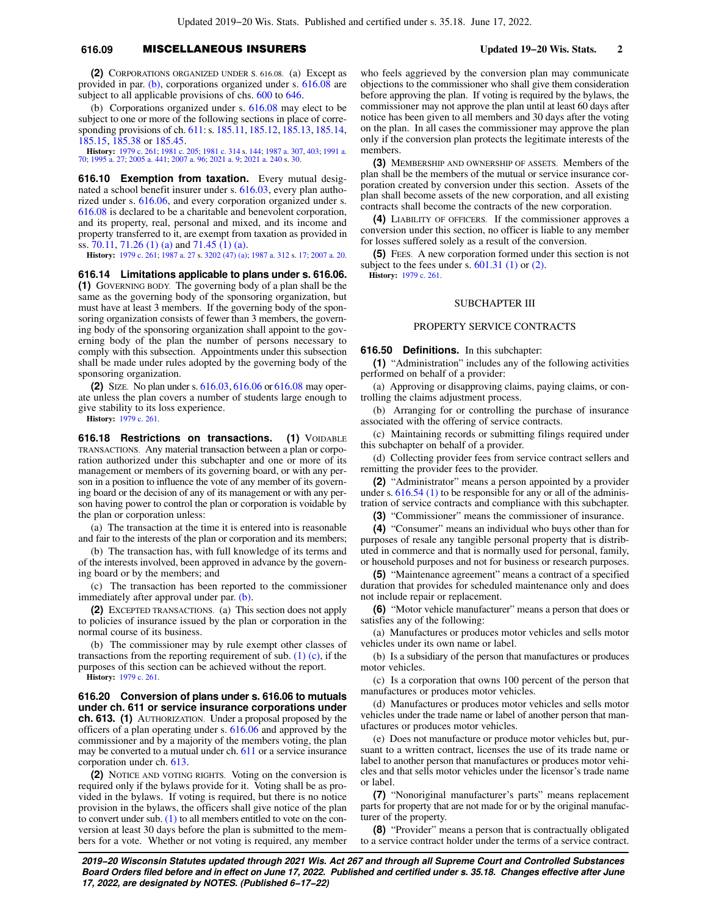### **616.09** MISCELLANEOUS INSURERS **Updated 19−20 Wis. Stats. 2**

**(2)** CORPORATIONS ORGANIZED UNDER S. 616.08. (a) Except as provided in par. [\(b\),](https://docs.legis.wisconsin.gov/document/statutes/616.09(2)(b)) corporations organized under s. [616.08](https://docs.legis.wisconsin.gov/document/statutes/616.08) are subject to all applicable provisions of chs. [600](https://docs.legis.wisconsin.gov/document/statutes/ch.%20600) to [646.](https://docs.legis.wisconsin.gov/document/statutes/ch.%20646)

(b) Corporations organized under s. [616.08](https://docs.legis.wisconsin.gov/document/statutes/616.08) may elect to be subject to one or more of the following sections in place of corresponding provisions of ch. [611](https://docs.legis.wisconsin.gov/document/statutes/ch.%20611): s. [185.11,](https://docs.legis.wisconsin.gov/document/statutes/185.11) [185.12](https://docs.legis.wisconsin.gov/document/statutes/185.12), [185.13](https://docs.legis.wisconsin.gov/document/statutes/185.13), [185.14,](https://docs.legis.wisconsin.gov/document/statutes/185.14) [185.15,](https://docs.legis.wisconsin.gov/document/statutes/185.15) [185.38](https://docs.legis.wisconsin.gov/document/statutes/185.38) or [185.45](https://docs.legis.wisconsin.gov/document/statutes/185.45).

**History:** [1979 c. 261;](https://docs.legis.wisconsin.gov/document/acts/1979/261) [1981 c. 205;](https://docs.legis.wisconsin.gov/document/acts/1981/205) [1981 c. 314](https://docs.legis.wisconsin.gov/document/acts/1981/314) s. [144](https://docs.legis.wisconsin.gov/document/acts/1981/314,%20s.%20144); [1987 a. 307](https://docs.legis.wisconsin.gov/document/acts/1987/307), [403](https://docs.legis.wisconsin.gov/document/acts/1987/403); [1991 a.](https://docs.legis.wisconsin.gov/document/acts/1991/70) [70;](https://docs.legis.wisconsin.gov/document/acts/1991/70) [1995 a. 27;](https://docs.legis.wisconsin.gov/document/acts/1995/27) [2005 a. 441;](https://docs.legis.wisconsin.gov/document/acts/2005/441) [2007 a. 96;](https://docs.legis.wisconsin.gov/document/acts/2007/96) [2021 a. 9](https://docs.legis.wisconsin.gov/document/acts/2021/9); [2021 a. 240](https://docs.legis.wisconsin.gov/document/acts/2021/240) s. [30](https://docs.legis.wisconsin.gov/document/acts/2021/240,%20s.%2030).

**616.10 Exemption from taxation.** Every mutual designated a school benefit insurer under s. [616.03](https://docs.legis.wisconsin.gov/document/statutes/616.03), every plan authorized under s. [616.06](https://docs.legis.wisconsin.gov/document/statutes/616.06), and every corporation organized under s. [616.08](https://docs.legis.wisconsin.gov/document/statutes/616.08) is declared to be a charitable and benevolent corporation, and its property, real, personal and mixed, and its income and property transferred to it, are exempt from taxation as provided in ss. [70.11](https://docs.legis.wisconsin.gov/document/statutes/70.11), [71.26 \(1\) \(a\)](https://docs.legis.wisconsin.gov/document/statutes/71.26(1)(a)) and [71.45 \(1\) \(a\).](https://docs.legis.wisconsin.gov/document/statutes/71.45(1)(a))

**History:** [1979 c. 261](https://docs.legis.wisconsin.gov/document/acts/1979/261); [1987 a. 27](https://docs.legis.wisconsin.gov/document/acts/1987/27) s. [3202 \(47\) \(a\);](https://docs.legis.wisconsin.gov/document/acts/1987/27,%20s.%203202) [1987 a. 312](https://docs.legis.wisconsin.gov/document/acts/1987/312) s. [17](https://docs.legis.wisconsin.gov/document/acts/1987/312,%20s.%2017); [2007 a. 20](https://docs.legis.wisconsin.gov/document/acts/2007/20).

**616.14 Limitations applicable to plans under s. 616.06. (1)** GOVERNING BODY. The governing body of a plan shall be the same as the governing body of the sponsoring organization, but must have at least 3 members. If the governing body of the sponsoring organization consists of fewer than 3 members, the governing body of the sponsoring organization shall appoint to the governing body of the plan the number of persons necessary to comply with this subsection. Appointments under this subsection shall be made under rules adopted by the governing body of the sponsoring organization.

**(2)** SIZE. No plan under s. [616.03](https://docs.legis.wisconsin.gov/document/statutes/616.03), [616.06](https://docs.legis.wisconsin.gov/document/statutes/616.06) or [616.08](https://docs.legis.wisconsin.gov/document/statutes/616.08) may operate unless the plan covers a number of students large enough to give stability to its loss experience.

**History:** [1979 c. 261](https://docs.legis.wisconsin.gov/document/acts/1979/261).

**616.18 Restrictions on transactions. (1) VOIDABLE** TRANSACTIONS. Any material transaction between a plan or corporation authorized under this subchapter and one or more of its management or members of its governing board, or with any person in a position to influence the vote of any member of its governing board or the decision of any of its management or with any person having power to control the plan or corporation is voidable by the plan or corporation unless:

(a) The transaction at the time it is entered into is reasonable and fair to the interests of the plan or corporation and its members;

(b) The transaction has, with full knowledge of its terms and of the interests involved, been approved in advance by the governing board or by the members; and

(c) The transaction has been reported to the commissioner immediately after approval under par. [\(b\)](https://docs.legis.wisconsin.gov/document/statutes/616.18(1)(b)).

**(2)** EXCEPTED TRANSACTIONS. (a) This section does not apply to policies of insurance issued by the plan or corporation in the normal course of its business.

(b) The commissioner may by rule exempt other classes of transactions from the reporting requirement of sub.  $(1)$   $(c)$ , if the purposes of this section can be achieved without the report. **History:** [1979 c. 261](https://docs.legis.wisconsin.gov/document/acts/1979/261).

**616.20 Conversion of plans under s. 616.06 to mutuals under ch. 611 or service insurance corporations under ch. 613. (1)** AUTHORIZATION. Under a proposal proposed by the officers of a plan operating under s. [616.06](https://docs.legis.wisconsin.gov/document/statutes/616.06) and approved by the commissioner and by a majority of the members voting, the plan may be converted to a mutual under ch. [611](https://docs.legis.wisconsin.gov/document/statutes/ch.%20611) or a service insurance corporation under ch. [613](https://docs.legis.wisconsin.gov/document/statutes/ch.%20613).

**(2)** NOTICE AND VOTING RIGHTS. Voting on the conversion is required only if the bylaws provide for it. Voting shall be as provided in the bylaws. If voting is required, but there is no notice provision in the bylaws, the officers shall give notice of the plan to convert under sub. [\(1\)](https://docs.legis.wisconsin.gov/document/statutes/616.20(1)) to all members entitled to vote on the conversion at least 30 days before the plan is submitted to the members for a vote. Whether or not voting is required, any member who feels aggrieved by the conversion plan may communicate objections to the commissioner who shall give them consideration before approving the plan. If voting is required by the bylaws, the commissioner may not approve the plan until at least 60 days after notice has been given to all members and 30 days after the voting on the plan. In all cases the commissioner may approve the plan only if the conversion plan protects the legitimate interests of the members.

**(3)** MEMBERSHIP AND OWNERSHIP OF ASSETS. Members of the plan shall be the members of the mutual or service insurance corporation created by conversion under this section. Assets of the plan shall become assets of the new corporation, and all existing contracts shall become the contracts of the new corporation.

**(4)** LIABILITY OF OFFICERS. If the commissioner approves a conversion under this section, no officer is liable to any member for losses suffered solely as a result of the conversion.

**(5)** FEES. A new corporation formed under this section is not subject to the fees under s.  $601.31$  (1) or [\(2\).](https://docs.legis.wisconsin.gov/document/statutes/601.31(2))

**History:** [1979 c. 261.](https://docs.legis.wisconsin.gov/document/acts/1979/261)

## SUBCHAPTER III

#### PROPERTY SERVICE CONTRACTS

**616.50 Definitions.** In this subchapter:

**(1)** "Administration" includes any of the following activities performed on behalf of a provider:

(a) Approving or disapproving claims, paying claims, or controlling the claims adjustment process.

(b) Arranging for or controlling the purchase of insurance associated with the offering of service contracts.

(c) Maintaining records or submitting filings required under this subchapter on behalf of a provider.

(d) Collecting provider fees from service contract sellers and remitting the provider fees to the provider.

**(2)** "Administrator" means a person appointed by a provider under s.  $616.54$  (1) to be responsible for any or all of the administration of service contracts and compliance with this subchapter.

**(3)** "Commissioner" means the commissioner of insurance.

**(4)** "Consumer" means an individual who buys other than for purposes of resale any tangible personal property that is distributed in commerce and that is normally used for personal, family, or household purposes and not for business or research purposes.

**(5)** "Maintenance agreement" means a contract of a specified duration that provides for scheduled maintenance only and does not include repair or replacement.

**(6)** "Motor vehicle manufacturer" means a person that does or satisfies any of the following:

(a) Manufactures or produces motor vehicles and sells motor vehicles under its own name or label.

(b) Is a subsidiary of the person that manufactures or produces motor vehicles.

(c) Is a corporation that owns 100 percent of the person that manufactures or produces motor vehicles.

(d) Manufactures or produces motor vehicles and sells motor vehicles under the trade name or label of another person that manufactures or produces motor vehicles.

(e) Does not manufacture or produce motor vehicles but, pursuant to a written contract, licenses the use of its trade name or label to another person that manufactures or produces motor vehicles and that sells motor vehicles under the licensor's trade name or label.

**(7)** "Nonoriginal manufacturer's parts" means replacement parts for property that are not made for or by the original manufacturer of the property.

**(8)** "Provider" means a person that is contractually obligated to a service contract holder under the terms of a service contract.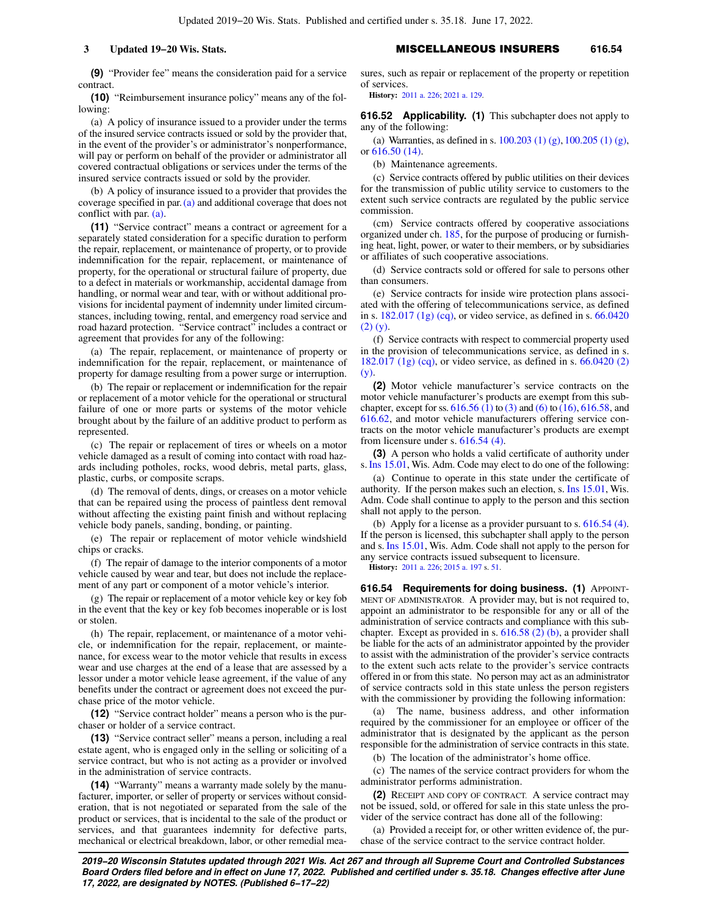### **3 Updated 19−20 Wis. Stats.** MISCELLANEOUS INSURERS **616.54**

**(9)** "Provider fee" means the consideration paid for a service contract.

**(10)** "Reimbursement insurance policy" means any of the following:

(a) A policy of insurance issued to a provider under the terms of the insured service contracts issued or sold by the provider that, in the event of the provider's or administrator's nonperformance, will pay or perform on behalf of the provider or administrator all covered contractual obligations or services under the terms of the insured service contracts issued or sold by the provider.

(b) A policy of insurance issued to a provider that provides the coverage specified in par.[\(a\)](https://docs.legis.wisconsin.gov/document/statutes/616.50(10)(a)) and additional coverage that does not conflict with par. [\(a\).](https://docs.legis.wisconsin.gov/document/statutes/616.50(10)(a))

**(11)** "Service contract" means a contract or agreement for a separately stated consideration for a specific duration to perform the repair, replacement, or maintenance of property, or to provide indemnification for the repair, replacement, or maintenance of property, for the operational or structural failure of property, due to a defect in materials or workmanship, accidental damage from handling, or normal wear and tear, with or without additional provisions for incidental payment of indemnity under limited circumstances, including towing, rental, and emergency road service and road hazard protection. "Service contract" includes a contract or agreement that provides for any of the following:

(a) The repair, replacement, or maintenance of property or indemnification for the repair, replacement, or maintenance of property for damage resulting from a power surge or interruption.

(b) The repair or replacement or indemnification for the repair or replacement of a motor vehicle for the operational or structural failure of one or more parts or systems of the motor vehicle brought about by the failure of an additive product to perform as represented.

(c) The repair or replacement of tires or wheels on a motor vehicle damaged as a result of coming into contact with road hazards including potholes, rocks, wood debris, metal parts, glass, plastic, curbs, or composite scraps.

(d) The removal of dents, dings, or creases on a motor vehicle that can be repaired using the process of paintless dent removal without affecting the existing paint finish and without replacing vehicle body panels, sanding, bonding, or painting.

(e) The repair or replacement of motor vehicle windshield chips or cracks.

(f) The repair of damage to the interior components of a motor vehicle caused by wear and tear, but does not include the replacement of any part or component of a motor vehicle's interior.

(g) The repair or replacement of a motor vehicle key or key fob in the event that the key or key fob becomes inoperable or is lost or stolen.

(h) The repair, replacement, or maintenance of a motor vehicle, or indemnification for the repair, replacement, or maintenance, for excess wear to the motor vehicle that results in excess wear and use charges at the end of a lease that are assessed by a lessor under a motor vehicle lease agreement, if the value of any benefits under the contract or agreement does not exceed the purchase price of the motor vehicle.

**(12)** "Service contract holder" means a person who is the purchaser or holder of a service contract.

**(13)** "Service contract seller" means a person, including a real estate agent, who is engaged only in the selling or soliciting of a service contract, but who is not acting as a provider or involved in the administration of service contracts.

**(14)** "Warranty" means a warranty made solely by the manufacturer, importer, or seller of property or services without consideration, that is not negotiated or separated from the sale of the product or services, that is incidental to the sale of the product or services, and that guarantees indemnity for defective parts, mechanical or electrical breakdown, labor, or other remedial measures, such as repair or replacement of the property or repetition of services.

**History:** [2011 a. 226](https://docs.legis.wisconsin.gov/document/acts/2011/226); [2021 a. 129.](https://docs.legis.wisconsin.gov/document/acts/2021/129)

**616.52 Applicability. (1)** This subchapter does not apply to any of the following:

(a) Warranties, as defined in s. [100.203 \(1\) \(g\),](https://docs.legis.wisconsin.gov/document/statutes/100.203(1)(g)) [100.205 \(1\) \(g\),](https://docs.legis.wisconsin.gov/document/statutes/100.205(1)(g)) or [616.50 \(14\)](https://docs.legis.wisconsin.gov/document/statutes/616.50(14)).

(b) Maintenance agreements.

(c) Service contracts offered by public utilities on their devices for the transmission of public utility service to customers to the extent such service contracts are regulated by the public service commission.

(cm) Service contracts offered by cooperative associations organized under ch. [185](https://docs.legis.wisconsin.gov/document/statutes/ch.%20185), for the purpose of producing or furnishing heat, light, power, or water to their members, or by subsidiaries or affiliates of such cooperative associations.

(d) Service contracts sold or offered for sale to persons other than consumers.

(e) Service contracts for inside wire protection plans associated with the offering of telecommunications service, as defined in s. [182.017 \(1g\) \(cq\)](https://docs.legis.wisconsin.gov/document/statutes/182.017(1g)(cq)), or video service, as defined in s. [66.0420](https://docs.legis.wisconsin.gov/document/statutes/66.0420(2)(y)) [\(2\) \(y\)](https://docs.legis.wisconsin.gov/document/statutes/66.0420(2)(y)).

(f) Service contracts with respect to commercial property used in the provision of telecommunications service, as defined in s. [182.017 \(1g\) \(cq\)](https://docs.legis.wisconsin.gov/document/statutes/182.017(1g)(cq)), or video service, as defined in s. [66.0420 \(2\)](https://docs.legis.wisconsin.gov/document/statutes/66.0420(2)(y)) [\(y\).](https://docs.legis.wisconsin.gov/document/statutes/66.0420(2)(y))

**(2)** Motor vehicle manufacturer's service contracts on the motor vehicle manufacturer's products are exempt from this subchapter, except for ss.  $616.56$  (1) to [\(3\)](https://docs.legis.wisconsin.gov/document/statutes/616.56(3)) and [\(6\)](https://docs.legis.wisconsin.gov/document/statutes/616.56(6)) to [\(16\),](https://docs.legis.wisconsin.gov/document/statutes/616.56(16)) [616.58](https://docs.legis.wisconsin.gov/document/statutes/616.58), and [616.62,](https://docs.legis.wisconsin.gov/document/statutes/616.62) and motor vehicle manufacturers offering service contracts on the motor vehicle manufacturer's products are exempt from licensure under s. [616.54 \(4\)](https://docs.legis.wisconsin.gov/document/statutes/616.54(4)).

**(3)** A person who holds a valid certificate of authority under s.[Ins 15.01](https://docs.legis.wisconsin.gov/document/administrativecode/Ins%2015.01), Wis. Adm. Code may elect to do one of the following:

(a) Continue to operate in this state under the certificate of authority. If the person makes such an election, s. [Ins 15.01,](https://docs.legis.wisconsin.gov/document/administrativecode/Ins%2015.01) Wis. Adm. Code shall continue to apply to the person and this section shall not apply to the person.

(b) Apply for a license as a provider pursuant to s.  $616.54$  (4). If the person is licensed, this subchapter shall apply to the person and s. [Ins 15.01](https://docs.legis.wisconsin.gov/document/administrativecode/Ins%2015.01), Wis. Adm. Code shall not apply to the person for any service contracts issued subsequent to licensure.

**History:** [2011 a. 226](https://docs.legis.wisconsin.gov/document/acts/2011/226); [2015 a. 197](https://docs.legis.wisconsin.gov/document/acts/2015/197) s. [51](https://docs.legis.wisconsin.gov/document/acts/2015/197,%20s.%2051).

**616.54 Requirements for doing business. (1)** APPOINT-MENT OF ADMINISTRATOR. A provider may, but is not required to, appoint an administrator to be responsible for any or all of the administration of service contracts and compliance with this subchapter. Except as provided in s.  $616.58$  (2) (b), a provider shall be liable for the acts of an administrator appointed by the provider to assist with the administration of the provider's service contracts to the extent such acts relate to the provider's service contracts offered in or from this state. No person may act as an administrator of service contracts sold in this state unless the person registers with the commissioner by providing the following information:

(a) The name, business address, and other information required by the commissioner for an employee or officer of the administrator that is designated by the applicant as the person responsible for the administration of service contracts in this state.

(b) The location of the administrator's home office.

(c) The names of the service contract providers for whom the administrator performs administration.

**(2)** RECEIPT AND COPY OF CONTRACT. A service contract may not be issued, sold, or offered for sale in this state unless the provider of the service contract has done all of the following:

(a) Provided a receipt for, or other written evidence of, the purchase of the service contract to the service contract holder.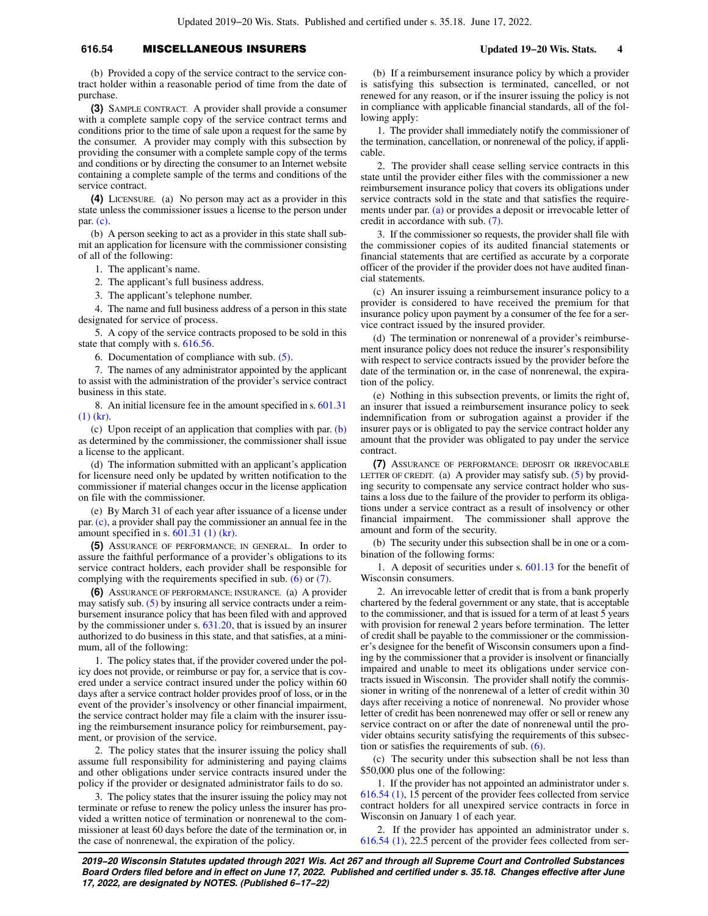### **616.54** MISCELLANEOUS INSURERS **Updated 19−20 Wis. Stats. 4**

(b) Provided a copy of the service contract to the service contract holder within a reasonable period of time from the date of purchase.

**(3)** SAMPLE CONTRACT. A provider shall provide a consumer with a complete sample copy of the service contract terms and conditions prior to the time of sale upon a request for the same by the consumer. A provider may comply with this subsection by providing the consumer with a complete sample copy of the terms and conditions or by directing the consumer to an Internet website containing a complete sample of the terms and conditions of the service contract.

**(4)** LICENSURE. (a) No person may act as a provider in this state unless the commissioner issues a license to the person under par. [\(c\)](https://docs.legis.wisconsin.gov/document/statutes/616.54(4)(c)).

(b) A person seeking to act as a provider in this state shall submit an application for licensure with the commissioner consisting of all of the following:

1. The applicant's name.

2. The applicant's full business address.

3. The applicant's telephone number.

4. The name and full business address of a person in this state designated for service of process.

5. A copy of the service contracts proposed to be sold in this state that comply with s. [616.56](https://docs.legis.wisconsin.gov/document/statutes/616.56).

6. Documentation of compliance with sub. [\(5\)](https://docs.legis.wisconsin.gov/document/statutes/616.54(5)).

7. The names of any administrator appointed by the applicant to assist with the administration of the provider's service contract business in this state.

8. An initial licensure fee in the amount specified in s. [601.31](https://docs.legis.wisconsin.gov/document/statutes/601.31(1)(kr)) [\(1\) \(kr\)](https://docs.legis.wisconsin.gov/document/statutes/601.31(1)(kr)).

(c) Upon receipt of an application that complies with par.  $(b)$ as determined by the commissioner, the commissioner shall issue a license to the applicant.

(d) The information submitted with an applicant's application for licensure need only be updated by written notification to the commissioner if material changes occur in the license application on file with the commissioner.

(e) By March 31 of each year after issuance of a license under par. [\(c\),](https://docs.legis.wisconsin.gov/document/statutes/616.54(4)(c)) a provider shall pay the commissioner an annual fee in the amount specified in s.  $601.31$  (1) (kr).

**(5)** ASSURANCE OF PERFORMANCE; IN GENERAL. In order to assure the faithful performance of a provider's obligations to its service contract holders, each provider shall be responsible for complying with the requirements specified in sub. [\(6\)](https://docs.legis.wisconsin.gov/document/statutes/616.54(6)) or [\(7\)](https://docs.legis.wisconsin.gov/document/statutes/616.54(7)).

**(6)** ASSURANCE OF PERFORMANCE; INSURANCE. (a) A provider may satisfy sub. [\(5\)](https://docs.legis.wisconsin.gov/document/statutes/616.54(5)) by insuring all service contracts under a reimbursement insurance policy that has been filed with and approved by the commissioner under s. [631.20](https://docs.legis.wisconsin.gov/document/statutes/631.20), that is issued by an insurer authorized to do business in this state, and that satisfies, at a minimum, all of the following:

1. The policy states that, if the provider covered under the policy does not provide, or reimburse or pay for, a service that is covered under a service contract insured under the policy within 60 days after a service contract holder provides proof of loss, or in the event of the provider's insolvency or other financial impairment, the service contract holder may file a claim with the insurer issuing the reimbursement insurance policy for reimbursement, payment, or provision of the service.

2. The policy states that the insurer issuing the policy shall assume full responsibility for administering and paying claims and other obligations under service contracts insured under the policy if the provider or designated administrator fails to do so.

3. The policy states that the insurer issuing the policy may not terminate or refuse to renew the policy unless the insurer has provided a written notice of termination or nonrenewal to the commissioner at least 60 days before the date of the termination or, in the case of nonrenewal, the expiration of the policy.

(b) If a reimbursement insurance policy by which a provider is satisfying this subsection is terminated, cancelled, or not renewed for any reason, or if the insurer issuing the policy is not in compliance with applicable financial standards, all of the following apply:

1. The provider shall immediately notify the commissioner of the termination, cancellation, or nonrenewal of the policy, if applicable.

2. The provider shall cease selling service contracts in this state until the provider either files with the commissioner a new reimbursement insurance policy that covers its obligations under service contracts sold in the state and that satisfies the requirements under par. [\(a\)](https://docs.legis.wisconsin.gov/document/statutes/616.54(6)(a)) or provides a deposit or irrevocable letter of credit in accordance with sub. [\(7\)](https://docs.legis.wisconsin.gov/document/statutes/616.54(7)).

3. If the commissioner so requests, the provider shall file with the commissioner copies of its audited financial statements or financial statements that are certified as accurate by a corporate officer of the provider if the provider does not have audited financial statements.

(c) An insurer issuing a reimbursement insurance policy to a provider is considered to have received the premium for that insurance policy upon payment by a consumer of the fee for a service contract issued by the insured provider.

(d) The termination or nonrenewal of a provider's reimbursement insurance policy does not reduce the insurer's responsibility with respect to service contracts issued by the provider before the date of the termination or, in the case of nonrenewal, the expiration of the policy.

(e) Nothing in this subsection prevents, or limits the right of, an insurer that issued a reimbursement insurance policy to seek indemnification from or subrogation against a provider if the insurer pays or is obligated to pay the service contract holder any amount that the provider was obligated to pay under the service contract.

**(7)** ASSURANCE OF PERFORMANCE; DEPOSIT OR IRREVOCABLE LETTER OF CREDIT. (a) A provider may satisfy sub.  $(5)$  by providing security to compensate any service contract holder who sustains a loss due to the failure of the provider to perform its obligations under a service contract as a result of insolvency or other financial impairment. The commissioner shall approve the amount and form of the security.

(b) The security under this subsection shall be in one or a combination of the following forms:

1. A deposit of securities under s. [601.13](https://docs.legis.wisconsin.gov/document/statutes/601.13) for the benefit of Wisconsin consumers.

2. An irrevocable letter of credit that is from a bank properly chartered by the federal government or any state, that is acceptable to the commissioner, and that is issued for a term of at least 5 years with provision for renewal 2 years before termination. The letter of credit shall be payable to the commissioner or the commissioner's designee for the benefit of Wisconsin consumers upon a finding by the commissioner that a provider is insolvent or financially impaired and unable to meet its obligations under service contracts issued in Wisconsin. The provider shall notify the commissioner in writing of the nonrenewal of a letter of credit within 30 days after receiving a notice of nonrenewal. No provider whose letter of credit has been nonrenewed may offer or sell or renew any service contract on or after the date of nonrenewal until the provider obtains security satisfying the requirements of this subsection or satisfies the requirements of sub.  $(6)$ .

(c) The security under this subsection shall be not less than \$50,000 plus one of the following:

1. If the provider has not appointed an administrator under s. [616.54 \(1\)](https://docs.legis.wisconsin.gov/document/statutes/616.54(1)), 15 percent of the provider fees collected from service contract holders for all unexpired service contracts in force in Wisconsin on January 1 of each year.

2. If the provider has appointed an administrator under s. [616.54 \(1\),](https://docs.legis.wisconsin.gov/document/statutes/616.54(1)) 22.5 percent of the provider fees collected from ser-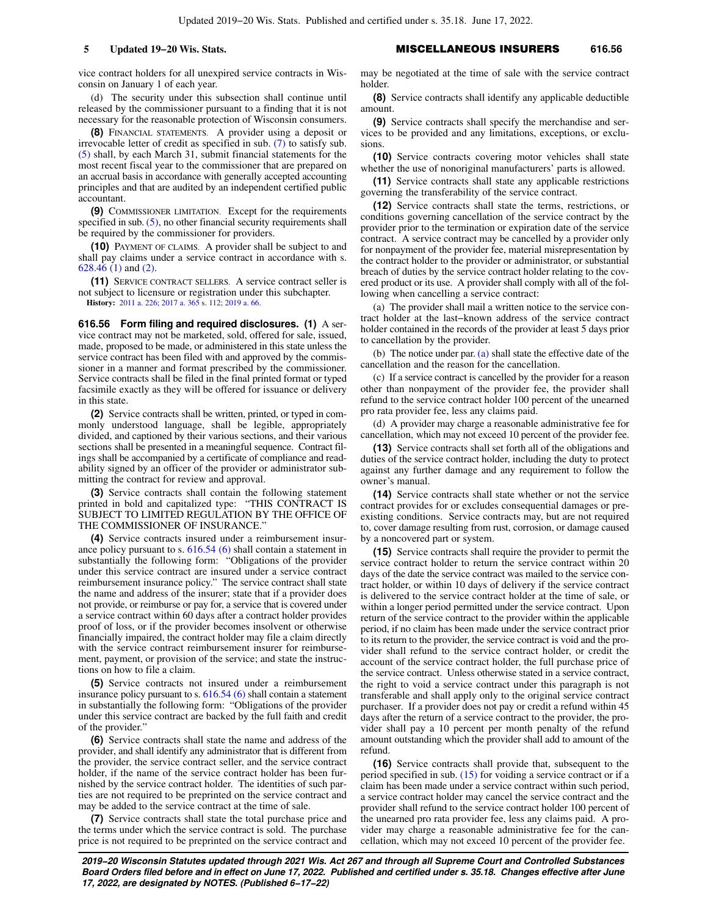vice contract holders for all unexpired service contracts in Wisconsin on January 1 of each year.

(d) The security under this subsection shall continue until released by the commissioner pursuant to a finding that it is not necessary for the reasonable protection of Wisconsin consumers.

**(8)** FINANCIAL STATEMENTS. A provider using a deposit or irrevocable letter of credit as specified in sub. [\(7\)](https://docs.legis.wisconsin.gov/document/statutes/616.54(7)) to satisfy sub. [\(5\)](https://docs.legis.wisconsin.gov/document/statutes/616.54(5)) shall, by each March 31, submit financial statements for the most recent fiscal year to the commissioner that are prepared on an accrual basis in accordance with generally accepted accounting principles and that are audited by an independent certified public accountant.

**(9)** COMMISSIONER LIMITATION. Except for the requirements specified in sub.  $(5)$ , no other financial security requirements shall be required by the commissioner for providers.

**(10)** PAYMENT OF CLAIMS. A provider shall be subject to and shall pay claims under a service contract in accordance with s. [628.46 \(1\)](https://docs.legis.wisconsin.gov/document/statutes/628.46(1)) and [\(2\).](https://docs.legis.wisconsin.gov/document/statutes/628.46(2))

**(11)** SERVICE CONTRACT SELLERS. A service contract seller is not subject to licensure or registration under this subchapter. **History:** [2011 a. 226](https://docs.legis.wisconsin.gov/document/acts/2011/226); [2017 a. 365](https://docs.legis.wisconsin.gov/document/acts/2017/365) s. [112;](https://docs.legis.wisconsin.gov/document/acts/2017/365,%20s.%20112) [2019 a. 66](https://docs.legis.wisconsin.gov/document/acts/2019/66).

**616.56 Form filing and required disclosures. (1)** A service contract may not be marketed, sold, offered for sale, issued, made, proposed to be made, or administered in this state unless the service contract has been filed with and approved by the commissioner in a manner and format prescribed by the commissioner. Service contracts shall be filed in the final printed format or typed facsimile exactly as they will be offered for issuance or delivery

in this state.

**(2)** Service contracts shall be written, printed, or typed in commonly understood language, shall be legible, appropriately divided, and captioned by their various sections, and their various sections shall be presented in a meaningful sequence. Contract filings shall be accompanied by a certificate of compliance and readability signed by an officer of the provider or administrator submitting the contract for review and approval.

**(3)** Service contracts shall contain the following statement printed in bold and capitalized type: "THIS CONTRACT IS SUBJECT TO LIMITED REGULATION BY THE OFFICE OF THE COMMISSIONER OF INSURANCE."

**(4)** Service contracts insured under a reimbursement insurance policy pursuant to s. [616.54 \(6\)](https://docs.legis.wisconsin.gov/document/statutes/616.54(6)) shall contain a statement in substantially the following form: "Obligations of the provider under this service contract are insured under a service contract reimbursement insurance policy." The service contract shall state the name and address of the insurer; state that if a provider does not provide, or reimburse or pay for, a service that is covered under a service contract within 60 days after a contract holder provides proof of loss, or if the provider becomes insolvent or otherwise financially impaired, the contract holder may file a claim directly with the service contract reimbursement insurer for reimbursement, payment, or provision of the service; and state the instructions on how to file a claim.

**(5)** Service contracts not insured under a reimbursement insurance policy pursuant to s. [616.54 \(6\)](https://docs.legis.wisconsin.gov/document/statutes/616.54(6)) shall contain a statement in substantially the following form: "Obligations of the provider under this service contract are backed by the full faith and credit of the provider."

**(6)** Service contracts shall state the name and address of the provider, and shall identify any administrator that is different from the provider, the service contract seller, and the service contract holder, if the name of the service contract holder has been furnished by the service contract holder. The identities of such parties are not required to be preprinted on the service contract and may be added to the service contract at the time of sale.

**(7)** Service contracts shall state the total purchase price and the terms under which the service contract is sold. The purchase price is not required to be preprinted on the service contract and

**5 Updated 19−20 Wis. Stats.** MISCELLANEOUS INSURERS **616.56**

may be negotiated at the time of sale with the service contract holder.

**(8)** Service contracts shall identify any applicable deductible amount.

**(9)** Service contracts shall specify the merchandise and services to be provided and any limitations, exceptions, or exclusions.

**(10)** Service contracts covering motor vehicles shall state whether the use of nonoriginal manufacturers' parts is allowed.

**(11)** Service contracts shall state any applicable restrictions governing the transferability of the service contract.

**(12)** Service contracts shall state the terms, restrictions, or conditions governing cancellation of the service contract by the provider prior to the termination or expiration date of the service contract. A service contract may be cancelled by a provider only for nonpayment of the provider fee, material misrepresentation by the contract holder to the provider or administrator, or substantial breach of duties by the service contract holder relating to the covered product or its use. A provider shall comply with all of the following when cancelling a service contract:

(a) The provider shall mail a written notice to the service contract holder at the last−known address of the service contract holder contained in the records of the provider at least 5 days prior to cancellation by the provider.

(b) The notice under par. [\(a\)](https://docs.legis.wisconsin.gov/document/statutes/616.56(12)(a)) shall state the effective date of the cancellation and the reason for the cancellation.

(c) If a service contract is cancelled by the provider for a reason other than nonpayment of the provider fee, the provider shall refund to the service contract holder 100 percent of the unearned pro rata provider fee, less any claims paid.

(d) A provider may charge a reasonable administrative fee for cancellation, which may not exceed 10 percent of the provider fee.

**(13)** Service contracts shall set forth all of the obligations and duties of the service contract holder, including the duty to protect against any further damage and any requirement to follow the owner's manual.

**(14)** Service contracts shall state whether or not the service contract provides for or excludes consequential damages or preexisting conditions. Service contracts may, but are not required to, cover damage resulting from rust, corrosion, or damage caused by a noncovered part or system.

**(15)** Service contracts shall require the provider to permit the service contract holder to return the service contract within 20 days of the date the service contract was mailed to the service contract holder, or within 10 days of delivery if the service contract is delivered to the service contract holder at the time of sale, or within a longer period permitted under the service contract. Upon return of the service contract to the provider within the applicable period, if no claim has been made under the service contract prior to its return to the provider, the service contract is void and the provider shall refund to the service contract holder, or credit the account of the service contract holder, the full purchase price of the service contract. Unless otherwise stated in a service contract, the right to void a service contract under this paragraph is not transferable and shall apply only to the original service contract purchaser. If a provider does not pay or credit a refund within 45 days after the return of a service contract to the provider, the provider shall pay a 10 percent per month penalty of the refund amount outstanding which the provider shall add to amount of the refund.

**(16)** Service contracts shall provide that, subsequent to the period specified in sub. [\(15\)](https://docs.legis.wisconsin.gov/document/statutes/616.56(15)) for voiding a service contract or if a claim has been made under a service contract within such period, a service contract holder may cancel the service contract and the provider shall refund to the service contract holder 100 percent of the unearned pro rata provider fee, less any claims paid. A provider may charge a reasonable administrative fee for the cancellation, which may not exceed 10 percent of the provider fee.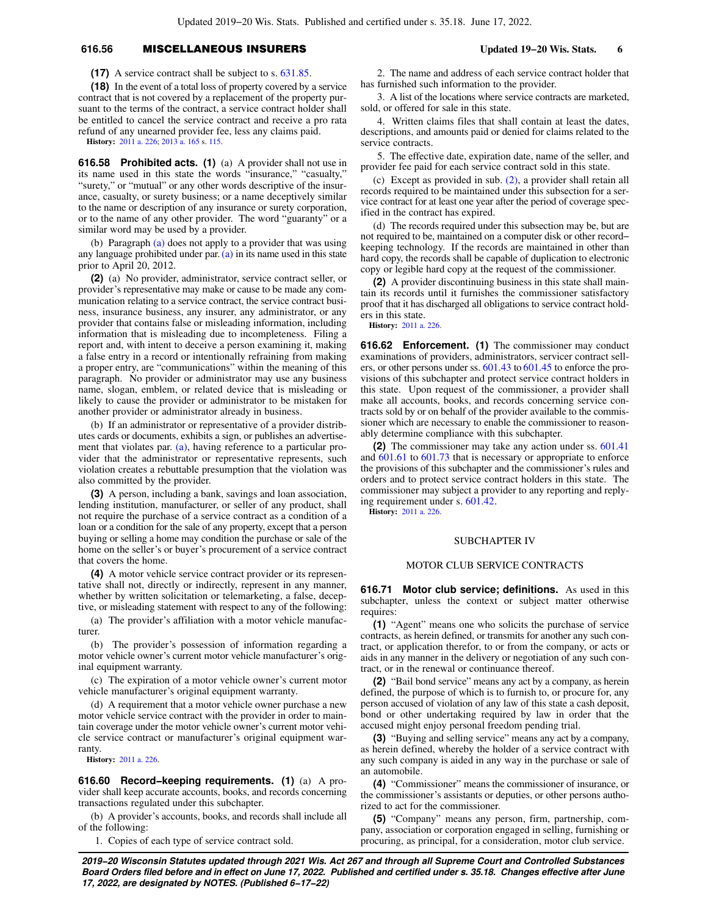# **616.56** MISCELLANEOUS INSURERS **Updated 19−20 Wis. Stats. 6**

**(17)** A service contract shall be subject to s. [631.85.](https://docs.legis.wisconsin.gov/document/statutes/631.85)

**(18)** In the event of a total loss of property covered by a service contract that is not covered by a replacement of the property pursuant to the terms of the contract, a service contract holder shall be entitled to cancel the service contract and receive a pro rata refund of any unearned provider fee, less any claims paid.

**History:** [2011 a. 226](https://docs.legis.wisconsin.gov/document/acts/2011/226); [2013 a. 165](https://docs.legis.wisconsin.gov/document/acts/2013/165) s. [115.](https://docs.legis.wisconsin.gov/document/acts/2013/165,%20s.%20115)

**616.58 Prohibited acts. (1)** (a) A provider shall not use in its name used in this state the words "insurance," "casualty," "surety," or "mutual" or any other words descriptive of the insurance, casualty, or surety business; or a name deceptively similar to the name or description of any insurance or surety corporation, or to the name of any other provider. The word "guaranty" or a similar word may be used by a provider.

(b) Paragraph [\(a\)](https://docs.legis.wisconsin.gov/document/statutes/616.58(1)(a)) does not apply to a provider that was using any language prohibited under par. [\(a\)](https://docs.legis.wisconsin.gov/document/statutes/616.58(1)(a)) in its name used in this state prior to April 20, 2012.

**(2)** (a) No provider, administrator, service contract seller, or provider's representative may make or cause to be made any communication relating to a service contract, the service contract business, insurance business, any insurer, any administrator, or any provider that contains false or misleading information, including information that is misleading due to incompleteness. Filing a report and, with intent to deceive a person examining it, making a false entry in a record or intentionally refraining from making a proper entry, are "communications" within the meaning of this paragraph. No provider or administrator may use any business name, slogan, emblem, or related device that is misleading or likely to cause the provider or administrator to be mistaken for another provider or administrator already in business.

(b) If an administrator or representative of a provider distributes cards or documents, exhibits a sign, or publishes an advertisement that violates par. [\(a\),](https://docs.legis.wisconsin.gov/document/statutes/616.58(2)(a)) having reference to a particular provider that the administrator or representative represents, such violation creates a rebuttable presumption that the violation was also committed by the provider.

**(3)** A person, including a bank, savings and loan association, lending institution, manufacturer, or seller of any product, shall not require the purchase of a service contract as a condition of a loan or a condition for the sale of any property, except that a person buying or selling a home may condition the purchase or sale of the home on the seller's or buyer's procurement of a service contract that covers the home.

**(4)** A motor vehicle service contract provider or its representative shall not, directly or indirectly, represent in any manner, whether by written solicitation or telemarketing, a false, deceptive, or misleading statement with respect to any of the following:

(a) The provider's affiliation with a motor vehicle manufacturer.

(b) The provider's possession of information regarding a motor vehicle owner's current motor vehicle manufacturer's original equipment warranty.

(c) The expiration of a motor vehicle owner's current motor vehicle manufacturer's original equipment warranty.

(d) A requirement that a motor vehicle owner purchase a new motor vehicle service contract with the provider in order to maintain coverage under the motor vehicle owner's current motor vehicle service contract or manufacturer's original equipment warranty.

**History:** [2011 a. 226](https://docs.legis.wisconsin.gov/document/acts/2011/226).

**616.60 Record−keeping requirements. (1)** (a) A provider shall keep accurate accounts, books, and records concerning transactions regulated under this subchapter.

(b) A provider's accounts, books, and records shall include all of the following:

1. Copies of each type of service contract sold.

2. The name and address of each service contract holder that has furnished such information to the provider.

3. A list of the locations where service contracts are marketed, sold, or offered for sale in this state.

4. Written claims files that shall contain at least the dates, descriptions, and amounts paid or denied for claims related to the service contracts.

5. The effective date, expiration date, name of the seller, and provider fee paid for each service contract sold in this state.

(c) Except as provided in sub. [\(2\),](https://docs.legis.wisconsin.gov/document/statutes/616.60(2)) a provider shall retain all records required to be maintained under this subsection for a service contract for at least one year after the period of coverage specified in the contract has expired.

(d) The records required under this subsection may be, but are not required to be, maintained on a computer disk or other record− keeping technology. If the records are maintained in other than hard copy, the records shall be capable of duplication to electronic copy or legible hard copy at the request of the commissioner.

**(2)** A provider discontinuing business in this state shall maintain its records until it furnishes the commissioner satisfactory proof that it has discharged all obligations to service contract holders in this state.

**History:** [2011 a. 226](https://docs.legis.wisconsin.gov/document/acts/2011/226).

**616.62 Enforcement. (1)** The commissioner may conduct examinations of providers, administrators, servicer contract sellers, or other persons under ss. [601.43](https://docs.legis.wisconsin.gov/document/statutes/601.43) to [601.45](https://docs.legis.wisconsin.gov/document/statutes/601.45) to enforce the provisions of this subchapter and protect service contract holders in this state. Upon request of the commissioner, a provider shall make all accounts, books, and records concerning service contracts sold by or on behalf of the provider available to the commissioner which are necessary to enable the commissioner to reasonably determine compliance with this subchapter.

**(2)** The commissioner may take any action under ss. [601.41](https://docs.legis.wisconsin.gov/document/statutes/601.41) and [601.61](https://docs.legis.wisconsin.gov/document/statutes/601.61) to [601.73](https://docs.legis.wisconsin.gov/document/statutes/601.73) that is necessary or appropriate to enforce the provisions of this subchapter and the commissioner's rules and orders and to protect service contract holders in this state. The commissioner may subject a provider to any reporting and replying requirement under s. [601.42.](https://docs.legis.wisconsin.gov/document/statutes/601.42)

**History:** [2011 a. 226](https://docs.legis.wisconsin.gov/document/acts/2011/226).

#### SUBCHAPTER IV

### MOTOR CLUB SERVICE CONTRACTS

**616.71 Motor club service; definitions.** As used in this subchapter, unless the context or subject matter otherwise requires:

**(1)** "Agent" means one who solicits the purchase of service contracts, as herein defined, or transmits for another any such contract, or application therefor, to or from the company, or acts or aids in any manner in the delivery or negotiation of any such contract, or in the renewal or continuance thereof.

**(2)** "Bail bond service" means any act by a company, as herein defined, the purpose of which is to furnish to, or procure for, any person accused of violation of any law of this state a cash deposit, bond or other undertaking required by law in order that the accused might enjoy personal freedom pending trial.

**(3)** "Buying and selling service" means any act by a company, as herein defined, whereby the holder of a service contract with any such company is aided in any way in the purchase or sale of an automobile.

**(4)** "Commissioner" means the commissioner of insurance, or the commissioner's assistants or deputies, or other persons authorized to act for the commissioner.

**(5)** "Company" means any person, firm, partnership, company, association or corporation engaged in selling, furnishing or procuring, as principal, for a consideration, motor club service.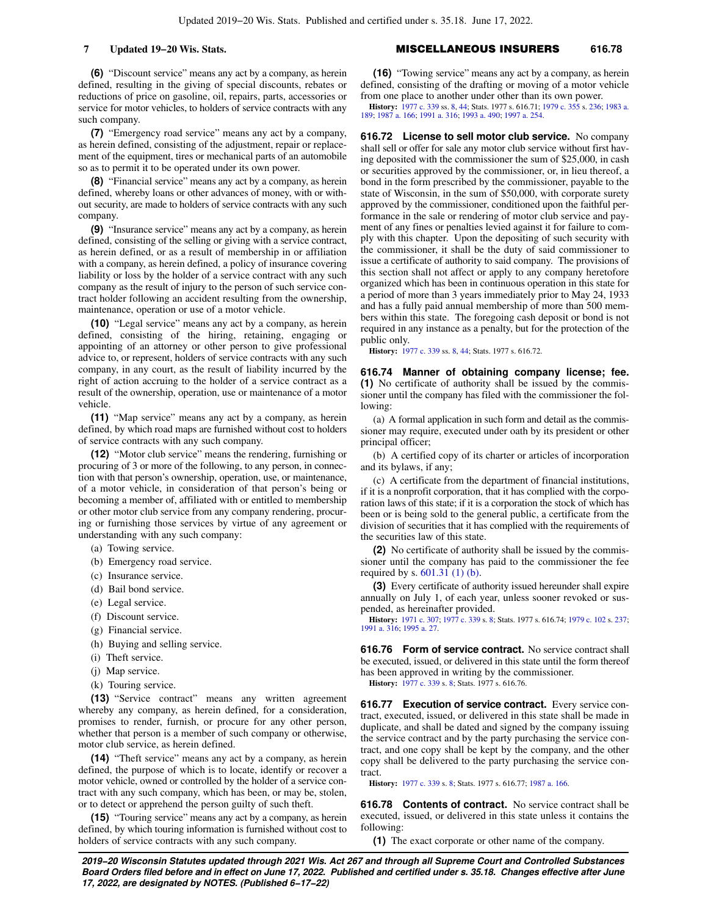**(6)** "Discount service" means any act by a company, as herein defined, resulting in the giving of special discounts, rebates or reductions of price on gasoline, oil, repairs, parts, accessories or service for motor vehicles, to holders of service contracts with any such company.

**(7)** "Emergency road service" means any act by a company, as herein defined, consisting of the adjustment, repair or replacement of the equipment, tires or mechanical parts of an automobile so as to permit it to be operated under its own power.

**(8)** "Financial service" means any act by a company, as herein defined, whereby loans or other advances of money, with or without security, are made to holders of service contracts with any such company.

**(9)** "Insurance service" means any act by a company, as herein defined, consisting of the selling or giving with a service contract, as herein defined, or as a result of membership in or affiliation with a company, as herein defined, a policy of insurance covering liability or loss by the holder of a service contract with any such company as the result of injury to the person of such service contract holder following an accident resulting from the ownership, maintenance, operation or use of a motor vehicle.

**(10)** "Legal service" means any act by a company, as herein defined, consisting of the hiring, retaining, engaging or appointing of an attorney or other person to give professional advice to, or represent, holders of service contracts with any such company, in any court, as the result of liability incurred by the right of action accruing to the holder of a service contract as a result of the ownership, operation, use or maintenance of a motor vehicle.

**(11)** "Map service" means any act by a company, as herein defined, by which road maps are furnished without cost to holders of service contracts with any such company.

**(12)** "Motor club service" means the rendering, furnishing or procuring of 3 or more of the following, to any person, in connection with that person's ownership, operation, use, or maintenance, of a motor vehicle, in consideration of that person's being or becoming a member of, affiliated with or entitled to membership or other motor club service from any company rendering, procuring or furnishing those services by virtue of any agreement or understanding with any such company:

- (a) Towing service.
- (b) Emergency road service.
- (c) Insurance service.
- (d) Bail bond service.
- (e) Legal service.
- (f) Discount service.
- (g) Financial service.
- (h) Buying and selling service.
- (i) Theft service.
- (j) Map service.
- (k) Touring service.

**(13)** "Service contract" means any written agreement whereby any company, as herein defined, for a consideration, promises to render, furnish, or procure for any other person, whether that person is a member of such company or otherwise, motor club service, as herein defined.

**(14)** "Theft service" means any act by a company, as herein defined, the purpose of which is to locate, identify or recover a motor vehicle, owned or controlled by the holder of a service contract with any such company, which has been, or may be, stolen, or to detect or apprehend the person guilty of such theft.

**(15)** "Touring service" means any act by a company, as herein defined, by which touring information is furnished without cost to holders of service contracts with any such company.

### **7 Updated 19−20 Wis. Stats.** MISCELLANEOUS INSURERS **616.78**

**(16)** "Towing service" means any act by a company, as herein defined, consisting of the drafting or moving of a motor vehicle from one place to another under other than its own power.

**History:** [1977 c. 339](https://docs.legis.wisconsin.gov/document/acts/1977/339) ss. [8,](https://docs.legis.wisconsin.gov/document/acts/1977/339,%20s.%208) [44](https://docs.legis.wisconsin.gov/document/acts/1977/339,%20s.%2044); Stats. 1977 s. 616.71; [1979 c. 355](https://docs.legis.wisconsin.gov/document/acts/1979/355) s. [236](https://docs.legis.wisconsin.gov/document/acts/1979/355,%20s.%20236); [1983 a.](https://docs.legis.wisconsin.gov/document/acts/1983/189) [189;](https://docs.legis.wisconsin.gov/document/acts/1983/189) [1987 a. 166](https://docs.legis.wisconsin.gov/document/acts/1987/166); [1991 a. 316;](https://docs.legis.wisconsin.gov/document/acts/1991/316) [1993 a. 490;](https://docs.legis.wisconsin.gov/document/acts/1993/490) [1997 a. 254](https://docs.legis.wisconsin.gov/document/acts/1997/254).

**616.72 License to sell motor club service.** No company shall sell or offer for sale any motor club service without first having deposited with the commissioner the sum of \$25,000, in cash or securities approved by the commissioner, or, in lieu thereof, a bond in the form prescribed by the commissioner, payable to the state of Wisconsin, in the sum of \$50,000, with corporate surety approved by the commissioner, conditioned upon the faithful performance in the sale or rendering of motor club service and payment of any fines or penalties levied against it for failure to comply with this chapter. Upon the depositing of such security with the commissioner, it shall be the duty of said commissioner to issue a certificate of authority to said company. The provisions of this section shall not affect or apply to any company heretofore organized which has been in continuous operation in this state for a period of more than 3 years immediately prior to May 24, 1933 and has a fully paid annual membership of more than 500 members within this state. The foregoing cash deposit or bond is not required in any instance as a penalty, but for the protection of the public only.

**History:** [1977 c. 339](https://docs.legis.wisconsin.gov/document/acts/1977/339) ss. [8,](https://docs.legis.wisconsin.gov/document/acts/1977/339,%20s.%208) [44](https://docs.legis.wisconsin.gov/document/acts/1977/339,%20s.%2044); Stats. 1977 s. 616.72.

**616.74 Manner of obtaining company license; fee. (1)** No certificate of authority shall be issued by the commissioner until the company has filed with the commissioner the following:

(a) A formal application in such form and detail as the commissioner may require, executed under oath by its president or other principal officer;

(b) A certified copy of its charter or articles of incorporation and its bylaws, if any;

(c) A certificate from the department of financial institutions, if it is a nonprofit corporation, that it has complied with the corporation laws of this state; if it is a corporation the stock of which has been or is being sold to the general public, a certificate from the division of securities that it has complied with the requirements of the securities law of this state.

**(2)** No certificate of authority shall be issued by the commissioner until the company has paid to the commissioner the fee required by s. [601.31 \(1\) \(b\)](https://docs.legis.wisconsin.gov/document/statutes/601.31(1)(b)).

**(3)** Every certificate of authority issued hereunder shall expire annually on July 1, of each year, unless sooner revoked or suspended, as hereinafter provided.

**History:** [1971 c. 307;](https://docs.legis.wisconsin.gov/document/acts/1971/307) [1977 c. 339](https://docs.legis.wisconsin.gov/document/acts/1977/339) s. [8;](https://docs.legis.wisconsin.gov/document/acts/1977/339,%20s.%208) Stats. 1977 s. 616.74; [1979 c. 102](https://docs.legis.wisconsin.gov/document/acts/1979/102) s. [237](https://docs.legis.wisconsin.gov/document/acts/1979/102,%20s.%20237); [1991 a. 316;](https://docs.legis.wisconsin.gov/document/acts/1991/316) [1995 a. 27](https://docs.legis.wisconsin.gov/document/acts/1995/27).

**616.76 Form of service contract.** No service contract shall be executed, issued, or delivered in this state until the form thereof has been approved in writing by the commissioner.

**History:** [1977 c. 339](https://docs.legis.wisconsin.gov/document/acts/1977/339) s. [8](https://docs.legis.wisconsin.gov/document/acts/1977/339,%20s.%208); Stats. 1977 s. 616.76.

**616.77 Execution of service contract.** Every service contract, executed, issued, or delivered in this state shall be made in duplicate, and shall be dated and signed by the company issuing the service contract and by the party purchasing the service contract, and one copy shall be kept by the company, and the other copy shall be delivered to the party purchasing the service contract.

**History:** [1977 c. 339](https://docs.legis.wisconsin.gov/document/acts/1977/339) s. [8](https://docs.legis.wisconsin.gov/document/acts/1977/339,%20s.%208); Stats. 1977 s. 616.77; [1987 a. 166.](https://docs.legis.wisconsin.gov/document/acts/1987/166)

**616.78 Contents of contract.** No service contract shall be executed, issued, or delivered in this state unless it contains the following:

**(1)** The exact corporate or other name of the company.